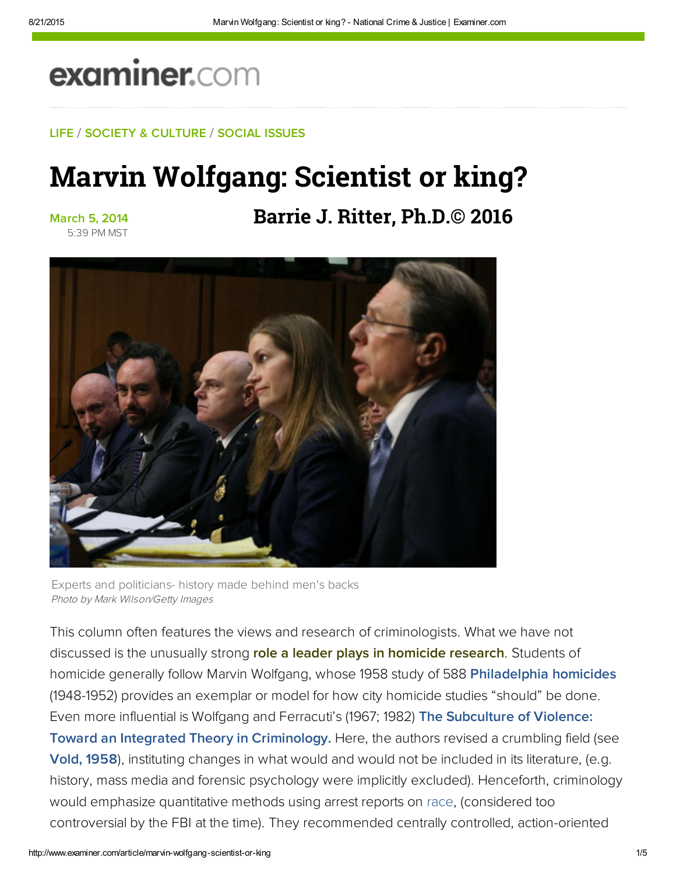# examiner.com

### LIFE / SOCIETY & CULTURE / SOCIAL ISSUES

## Marvin Wolfgang: Scientist or king?

### March 5, 2014 5:39 PM MST

## **Barrie J. Ritter, Ph.D.© 2016**



Experts and politicians- history made behind men's backs Photo by Mark Wilson/Getty Images

This column often features the views and research of criminologists. What we have not discussed is the unusually strong role a leader plays in homicide research. Students of homicide generally follow Marvin Wolfgang, whose 1958 study of 588 Philadelphia homicides (1948-1952) provides an exemplar or model for how city homicide studies "should" be done. Even more influential is Wolfgang and Ferracuti's (1967; 1982) The Subculture of Violence: Toward an Integrated Theory in Criminology. Here, the authors revised a crumbling field (see [Vold, 1958](https://en.wikipedia.org/wiki/Conflict_criminology#George_Vold)), instituting changes in what would and would not be included in its literature, (e.g. history, mass media and forensic psychology were implicitly excluded). Henceforth, criminology would emphasize quantitative methods using arrest reports on race, (considered too controversial by the FBI at the time). They recommended centrally controlled, action-oriented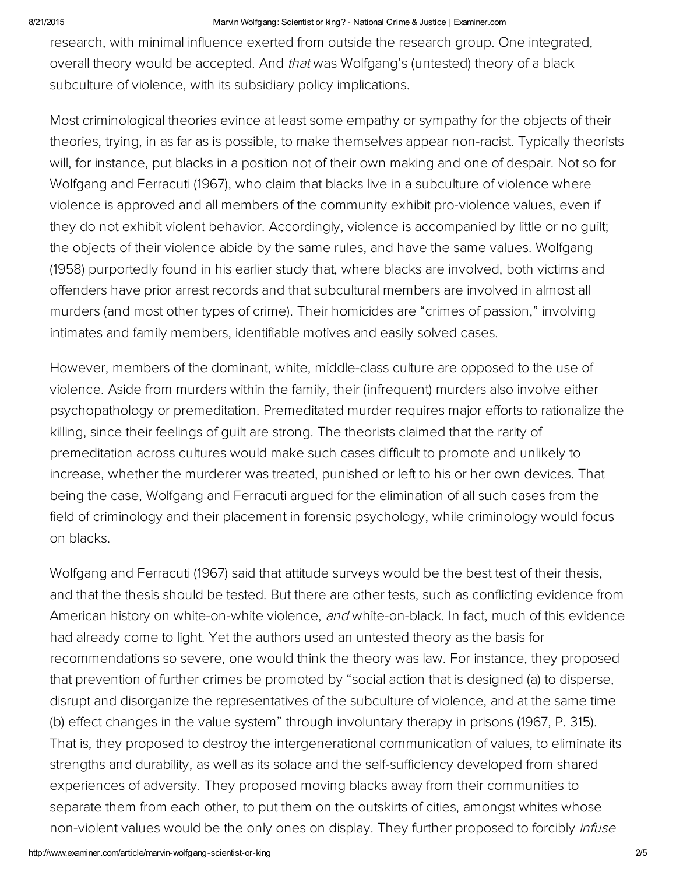#### 8/21/2015 Marvin Wolfgang: Scientist or king? National Crime & Justice | Examiner.com

research, with minimal influence exerted from outside the research group. One integrated, overall theory would be accepted. And that was Wolfgang's (untested) theory of a black subculture of violence, with its subsidiary policy implications.

Most criminological theories evince at least some empathy or sympathy for the objects of their theories, trying, in as far as is possible, to make themselves appear non-racist. Typically theorists will, for instance, put blacks in a position not of their own making and one of despair. Not so for Wolfgang and Ferracuti (1967), who claim that blacks live in a subculture of violence where violence is approved and all members of the community exhibit pro-violence values, even if they do not exhibit violent behavior. Accordingly, violence is accompanied by little or no guilt; the objects of their violence abide by the same rules, and have the same values. Wolfgang (1958) purportedly found in his earlier study that, where blacks are involved, both victims and offenders have prior arrest records and that subcultural members are involved in almost all murders (and most other types of crime). Their homicides are "crimes of passion," involving intimates and family members, identifiable motives and easily solved cases.

However, members of the dominant, white, middle-class culture are opposed to the use of violence. Aside from murders within the family, their (infrequent) murders also involve either psychopathology or premeditation. Premeditated murder requires major efforts to rationalize the killing, since their feelings of guilt are strong. The theorists claimed that the rarity of premeditation across cultures would make such cases difficult to promote and unlikely to increase, whether the murderer was treated, punished or left to his or her own devices. That being the case, Wolfgang and Ferracuti argued for the elimination of all such cases from the field of criminology and their placement in forensic psychology, while criminology would focus on blacks.

Wolfgang and Ferracuti (1967) said that attitude surveys would be the best test of their thesis, and that the thesis should be tested. But there are other tests, such as conflicting evidence from American history on white-on-white violence, and white-on-black. In fact, much of this evidence had already come to light. Yet the authors used an untested theory as the basis for recommendations so severe, one would think the theory was law. For instance, they proposed that prevention of further crimes be promoted by "social action that is designed (a) to disperse, disrupt and disorganize the representatives of the subculture of violence, and at the same time (b) effect changes in the value system" through involuntary therapy in prisons (1967, P. 315). That is, they proposed to destroy the intergenerational communication of values, to eliminate its strengths and durability, as well as its solace and the self-sufficiency developed from shared experiences of adversity. They proposed moving blacks away from their communities to separate them from each other, to put them on the outskirts of cities, amongst whites whose non-violent values would be the only ones on display. They further proposed to forcibly *infuse*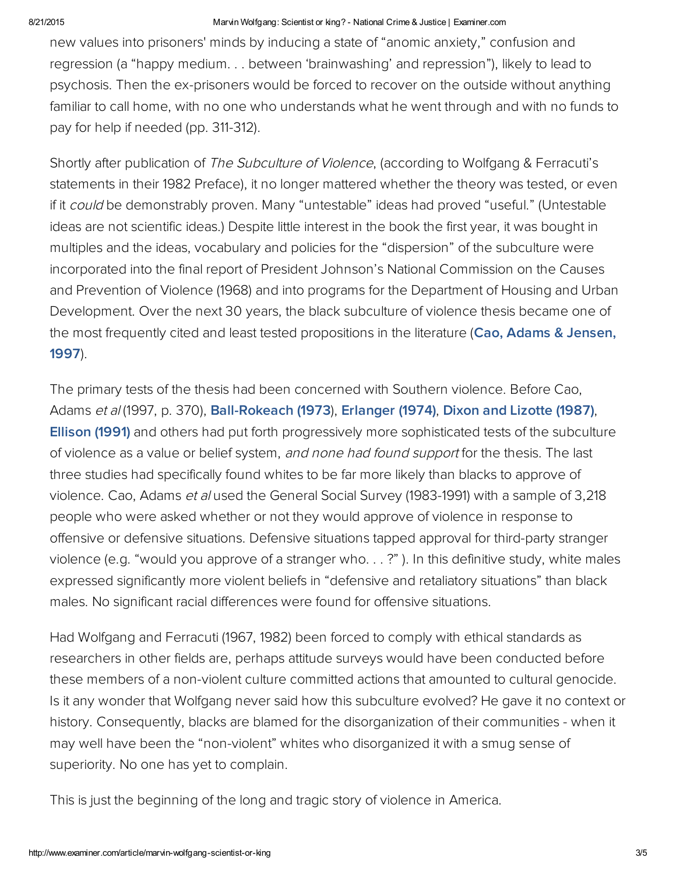### 8/21/2015 Marvin Wolfgang: Scientist or king? National Crime & Justice | Examiner.com

new values into prisoners' minds by inducing a state of "anomic anxiety," confusion and regression (a "happy medium. . . between 'brainwashing' and repression"), likely to lead to psychosis. Then the ex-prisoners would be forced to recover on the outside without anything familiar to call home, with no one who understands what he went through and with no funds to pay for help if needed (pp. 311-312).

Shortly after publication of The Subculture of Violence, (according to Wolfgang & Ferracuti's statements in their 1982 Preface), it no longer mattered whether the theory was tested, or even if it could be demonstrably proven. Many "untestable" ideas had proved "useful." (Untestable ideas are not scientific ideas.) Despite little interest in the book the first year, it was bought in multiples and the ideas, vocabulary and policies for the "dispersion" of the subculture were incorporated into the final report of President Johnson's National Commission on the Causes and Prevention of Violence (1968) and into programs for the Department of Housing and Urban Development. Over the next 30 years, the black subculture of violence thesis became one of [the most frequently cited and least tested propositions in the literature \(Cao, Adams & Jensen,](http://bit.ly/P1j2VQ) 1997).

The primary tests of the thesis had been concerned with Southern violence. Before Cao, Adams et al (1997, p. 370), **[Ball-Rokeach \(1973\)](http://bit.ly/1ia5Ar3), [Erlanger \(1974\)](https://books.google.com/books/about/The_subculture_of_violence_thesis.html?id=01sIAAAAIAAJ), [Dixon and Lizotte \(1987\)](http://bit.ly/1dsuhPG), Ellison (1991)** and others had put forth progressively more sophisticated tests of the subculture of violence as a value or belief system, and none had found support for the thesis. The last three studies had specifically found whites to be far more likely than blacks to approve of violence. Cao, Adams et al used the General Social Survey (1983-1991) with a sample of 3,218 people who were asked whether or not they would approve of violence in response to offensive or defensive situations. Defensive situations tapped approval for third-party stranger violence (e.g. "would you approve of a stranger who. . . ?" ). In this definitive study, white males expressed significantly more violent beliefs in "defensive and retaliatory situations" than black males. No significant racial differences were found for offensive situations.

Had Wolfgang and Ferracuti (1967, 1982) been forced to comply with ethical standards as researchers in other fields are, perhaps attitude surveys would have been conducted before these members of a non-violent culture committed actions that amounted to cultural genocide. Is it any wonder that Wolfgang never said how this subculture evolved? He gave it no context or history. Consequently, blacks are blamed for the disorganization of their communities - when it may well have been the "non-violent" whites who disorganized it with a smug sense of superiority. No one has yet to complain.

This is just the beginning of the long and tragic story of violence in America.